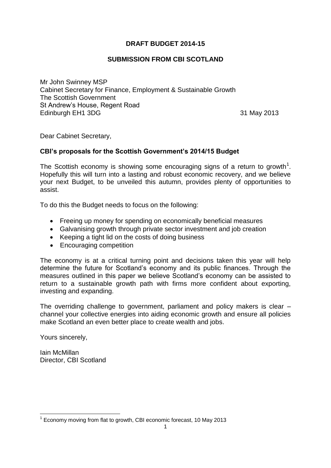# **DRAFT BUDGET 2014-15**

# **SUBMISSION FROM CBI SCOTLAND**

Mr John Swinney MSP Cabinet Secretary for Finance, Employment & Sustainable Growth The Scottish Government St Andrew's House, Regent Road Edinburgh EH1 3DG 31 May 2013

Dear Cabinet Secretary,

# **CBI's proposals for the Scottish Government's 2014/15 Budget**

The Scottish economy is showing some encouraging signs of a return to growth<sup>1</sup>. Hopefully this will turn into a lasting and robust economic recovery, and we believe your next Budget, to be unveiled this autumn, provides plenty of opportunities to assist.

To do this the Budget needs to focus on the following:

- Freeing up money for spending on economically beneficial measures
- Galvanising growth through private sector investment and job creation
- Keeping a tight lid on the costs of doing business
- Encouraging competition

The economy is at a critical turning point and decisions taken this year will help determine the future for Scotland's economy and its public finances. Through the measures outlined in this paper we believe Scotland's economy can be assisted to return to a sustainable growth path with firms more confident about exporting, investing and expanding.

The overriding challenge to government, parliament and policy makers is clear – channel your collective energies into aiding economic growth and ensure all policies make Scotland an even better place to create wealth and jobs.

Yours sincerely,

Iain McMillan Director, CBI Scotland

<sup>1</sup> <sup>1</sup> Economy moving from flat to growth, CBI economic forecast, 10 May 2013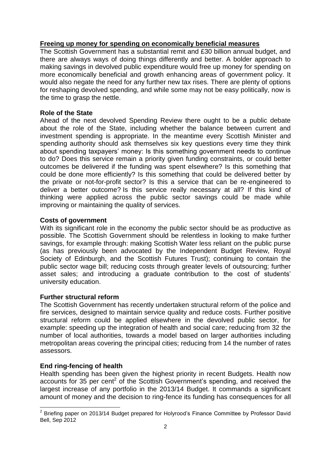# **Freeing up money for spending on economically beneficial measures**

The Scottish Government has a substantial remit and £30 billion annual budget, and there are always ways of doing things differently and better. A bolder approach to making savings in devolved public expenditure would free up money for spending on more economically beneficial and growth enhancing areas of government policy. It would also negate the need for any further new tax rises. There are plenty of options for reshaping devolved spending, and while some may not be easy politically, now is the time to grasp the nettle.

# **Role of the State**

Ahead of the next devolved Spending Review there ought to be a public debate about the role of the State, including whether the balance between current and investment spending is appropriate. In the meantime every Scottish Minister and spending authority should ask themselves six key questions every time they think about spending taxpayers' money: Is this something government needs to continue to do? Does this service remain a priority given funding constraints, or could better outcomes be delivered if the funding was spent elsewhere? Is this something that could be done more efficiently? Is this something that could be delivered better by the private or not-for-profit sector? Is this a service that can be re-engineered to deliver a better outcome? Is this service really necessary at all? If this kind of thinking were applied across the public sector savings could be made while improving or maintaining the quality of services.

## **Costs of government**

With its significant role in the economy the public sector should be as productive as possible. The Scottish Government should be relentless in looking to make further savings, for example through: making Scottish Water less reliant on the public purse (as has previously been advocated by the Independent Budget Review, Royal Society of Edinburgh, and the Scottish Futures Trust); continuing to contain the public sector wage bill; reducing costs through greater levels of outsourcing; further asset sales; and introducing a graduate contribution to the cost of students' university education.

## **Further structural reform**

The Scottish Government has recently undertaken structural reform of the police and fire services, designed to maintain service quality and reduce costs. Further positive structural reform could be applied elsewhere in the devolved public sector, for example: speeding up the integration of health and social care; reducing from 32 the number of local authorities, towards a model based on larger authorities including metropolitan areas covering the principal cities; reducing from 14 the number of rates assessors.

# **End ring-fencing of health**

Health spending has been given the highest priority in recent Budgets. Health now  $accounts$  for 35 per cent<sup>2</sup> of the Scottish Government's spending, and received the largest increase of any portfolio in the 2013/14 Budget. It commands a significant amount of money and the decision to ring-fence its funding has consequences for all

 2 Briefing paper on 2013/14 Budget prepared for Holyrood's Finance Committee by Professor David Bell, Sep 2012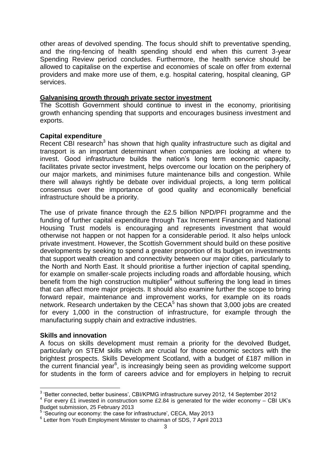other areas of devolved spending. The focus should shift to preventative spending, and the ring-fencing of health spending should end when this current 3-year Spending Review period concludes. Furthermore, the health service should be allowed to capitalise on the expertise and economies of scale on offer from external providers and make more use of them, e.g. hospital catering, hospital cleaning, GP services.

#### **Galvanising growth through private sector investment**

The Scottish Government should continue to invest in the economy, prioritising growth enhancing spending that supports and encourages business investment and exports.

#### **Capital expenditure**

Recent CBI research<sup>3</sup> has shown that high quality infrastructure such as digital and transport is an important determinant when companies are looking at where to invest. Good infrastructure builds the nation's long term economic capacity, facilitates private sector investment, helps overcome our location on the periphery of our major markets, and minimises future maintenance bills and congestion. While there will always rightly be debate over individual projects, a long term political consensus over the importance of good quality and economically beneficial infrastructure should be a priority.

The use of private finance through the £2.5 billion NPD/PFI programme and the funding of further capital expenditure through Tax Increment Financing and National Housing Trust models is encouraging and represents investment that would otherwise not happen or not happen for a considerable period. It also helps unlock private investment. However, the Scottish Government should build on these positive developments by seeking to spend a greater proportion of its budget on investments that support wealth creation and connectivity between our major cities, particularly to the North and North East. It should prioritise a further injection of capital spending, for example on smaller-scale projects including roads and affordable housing, which benefit from the high construction multiplier<sup>4</sup> without suffering the long lead in times that can affect more major projects. It should also examine further the scope to bring forward repair, maintenance and improvement works, for example on its roads network. Research undertaken by the CECA $5$  has shown that 3,000 jobs are created for every 1,000 in the construction of infrastructure, for example through the manufacturing supply chain and extractive industries.

## **Skills and innovation**

A focus on skills development must remain a priority for the devolved Budget, particularly on STEM skills which are crucial for those economic sectors with the brightest prospects. Skills Development Scotland, with a budget of £187 million in the current financial year<sup>6</sup>, is increasingly being seen as providing welcome support for students in the form of careers advice and for employers in helping to recruit

 3 'Better connected, better business', CBI/KPMG infrastructure survey 2012, 14 September 2012

 $4$  For every £1 invested in construction some £2.84 is generated for the wider economy – CBI UK's

Budget submission, 25 February 2013 5 'Securing our economy: the case for infrastructure', CECA, May 2013

<sup>&</sup>lt;sup>6</sup> Letter from Youth Employment Minister to chairman of SDS, 7 April 2013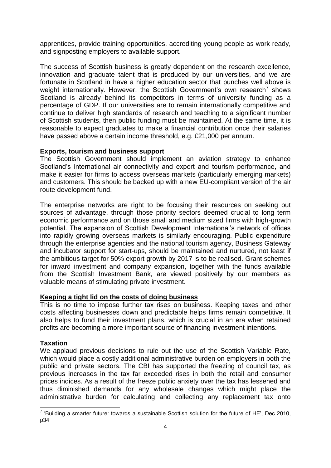apprentices, provide training opportunities, accrediting young people as work ready, and signposting employers to available support.

The success of Scottish business is greatly dependent on the research excellence, innovation and graduate talent that is produced by our universities, and we are fortunate in Scotland in have a higher education sector that punches well above is weight internationally. However, the Scottish Government's own research<sup>7</sup> shows Scotland is already behind its competitors in terms of university funding as a percentage of GDP. If our universities are to remain internationally competitive and continue to deliver high standards of research and teaching to a significant number of Scottish students, then public funding must be maintained. At the same time, it is reasonable to expect graduates to make a financial contribution once their salaries have passed above a certain income threshold, e.g. £21,000 per annum.

#### **Exports, tourism and business support**

The Scottish Government should implement an aviation strategy to enhance Scotland's international air connectivity and export and tourism performance, and make it easier for firms to access overseas markets (particularly emerging markets) and customers. This should be backed up with a new EU-compliant version of the air route development fund.

The enterprise networks are right to be focusing their resources on seeking out sources of advantage, through those priority sectors deemed crucial to long term economic performance and on those small and medium sized firms with high-growth potential. The expansion of Scottish Development International's network of offices into rapidly growing overseas markets is similarly encouraging. Public expenditure through the enterprise agencies and the national tourism agency, Business Gateway and incubator support for start-ups, should be maintained and nurtured, not least if the ambitious target for 50% export growth by 2017 is to be realised. Grant schemes for inward investment and company expansion, together with the funds available from the Scottish Investment Bank, are viewed positively by our members as valuable means of stimulating private investment.

#### **Keeping a tight lid on the costs of doing business**

This is no time to impose further tax rises on business. Keeping taxes and other costs affecting businesses down and predictable helps firms remain competitive. It also helps to fund their investment plans, which is crucial in an era when retained profits are becoming a more important source of financing investment intentions.

#### **Taxation**

We applaud previous decisions to rule out the use of the Scottish Variable Rate, which would place a costly additional administrative burden on employers in both the public and private sectors. The CBI has supported the freezing of council tax, as previous increases in the tax far exceeded rises in both the retail and consumer prices indices. As a result of the freeze public anxiety over the tax has lessened and thus diminished demands for any wholesale changes which might place the administrative burden for calculating and collecting any replacement tax onto

 7 'Building a smarter future: towards a sustainable Scottish solution for the future of HE', Dec 2010, p34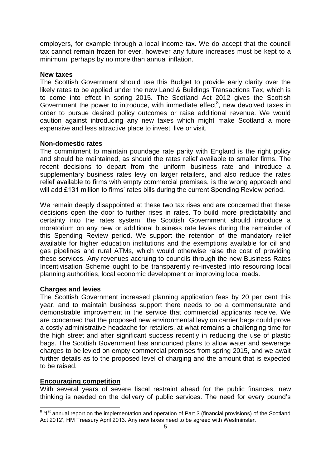employers, for example through a local income tax. We do accept that the council tax cannot remain frozen for ever, however any future increases must be kept to a minimum, perhaps by no more than annual inflation.

#### **New taxes**

The Scottish Government should use this Budget to provide early clarity over the likely rates to be applied under the new Land & Buildings Transactions Tax, which is to come into effect in spring 2015. The Scotland Act 2012 gives the Scottish Government the power to introduce, with immediate effect<sup>8</sup>, new devolved taxes in order to pursue desired policy outcomes or raise additional revenue. We would caution against introducing any new taxes which might make Scotland a more expensive and less attractive place to invest, live or visit.

#### **Non-domestic rates**

The commitment to maintain poundage rate parity with England is the right policy and should be maintained, as should the rates relief available to smaller firms. The recent decisions to depart from the uniform business rate and introduce a supplementary business rates levy on larger retailers, and also reduce the rates relief available to firms with empty commercial premises, is the wrong approach and will add £131 million to firms' rates bills during the current Spending Review period.

We remain deeply disappointed at these two tax rises and are concerned that these decisions open the door to further rises in rates. To build more predictability and certainty into the rates system, the Scottish Government should introduce a moratorium on any new or additional business rate levies during the remainder of this Spending Review period. We support the retention of the mandatory relief available for higher education institutions and the exemptions available for oil and gas pipelines and rural ATMs, which would otherwise raise the cost of providing these services. Any revenues accruing to councils through the new Business Rates Incentivisation Scheme ought to be transparently re-invested into resourcing local planning authorities, local economic development or improving local roads.

## **Charges and levies**

The Scottish Government increased planning application fees by 20 per cent this year, and to maintain business support there needs to be a commensurate and demonstrable improvement in the service that commercial applicants receive. We are concerned that the proposed new environmental levy on carrier bags could prove a costly administrative headache for retailers, at what remains a challenging time for the high street and after significant success recently in reducing the use of plastic bags. The Scottish Government has announced plans to allow water and sewerage charges to be levied on empty commercial premises from spring 2015, and we await further details as to the proposed level of charging and the amount that is expected to be raised.

## **Encouraging competition**

With several years of severe fiscal restraint ahead for the public finances, new thinking is needed on the delivery of public services. The need for every pound's

 8 '1st annual report on the implementation and operation of Part 3 (financial provisions) of the Scotland Act 2012', HM Treasury April 2013. Any new taxes need to be agreed with Westminster.